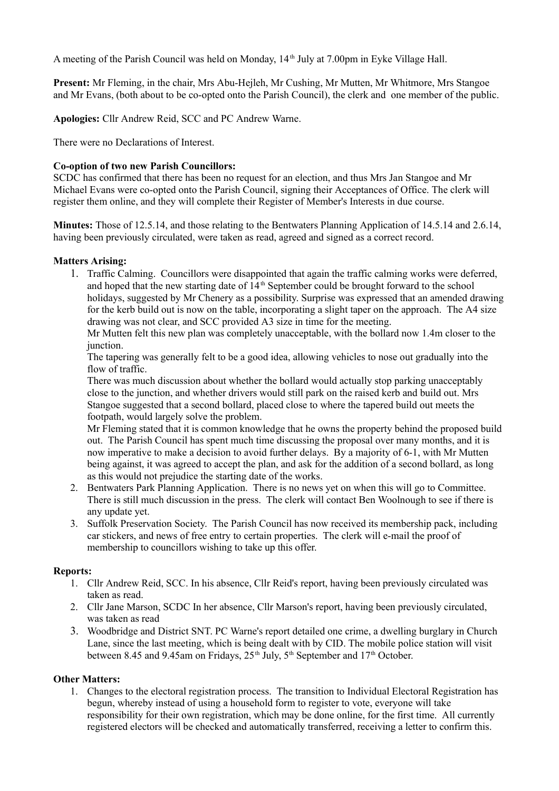A meeting of the Parish Council was held on Monday, 14<sup>th</sup> July at 7.00pm in Eyke Village Hall.

**Present:** Mr Fleming, in the chair, Mrs Abu-Hejleh, Mr Cushing, Mr Mutten, Mr Whitmore, Mrs Stangoe and Mr Evans, (both about to be co-opted onto the Parish Council), the clerk and one member of the public.

**Apologies:** Cllr Andrew Reid, SCC and PC Andrew Warne.

There were no Declarations of Interest.

### **Co-option of two new Parish Councillors:**

SCDC has confirmed that there has been no request for an election, and thus Mrs Jan Stangoe and Mr Michael Evans were co-opted onto the Parish Council, signing their Acceptances of Office. The clerk will register them online, and they will complete their Register of Member's Interests in due course.

**Minutes:** Those of 12.5.14, and those relating to the Bentwaters Planning Application of 14.5.14 and 2.6.14, having been previously circulated, were taken as read, agreed and signed as a correct record.

### **Matters Arising:**

1. Traffic Calming. Councillors were disappointed that again the traffic calming works were deferred, and hoped that the new starting date of  $14<sup>th</sup>$  September could be brought forward to the school holidays, suggested by Mr Chenery as a possibility. Surprise was expressed that an amended drawing for the kerb build out is now on the table, incorporating a slight taper on the approach. The A4 size drawing was not clear, and SCC provided A3 size in time for the meeting.

Mr Mutten felt this new plan was completely unacceptable, with the bollard now 1.4m closer to the junction.

The tapering was generally felt to be a good idea, allowing vehicles to nose out gradually into the flow of traffic.

There was much discussion about whether the bollard would actually stop parking unacceptably close to the junction, and whether drivers would still park on the raised kerb and build out. Mrs Stangoe suggested that a second bollard, placed close to where the tapered build out meets the footpath, would largely solve the problem.

Mr Fleming stated that it is common knowledge that he owns the property behind the proposed build out. The Parish Council has spent much time discussing the proposal over many months, and it is now imperative to make a decision to avoid further delays. By a majority of 6-1, with Mr Mutten being against, it was agreed to accept the plan, and ask for the addition of a second bollard, as long as this would not prejudice the starting date of the works.

- 2. Bentwaters Park Planning Application. There is no news yet on when this will go to Committee. There is still much discussion in the press. The clerk will contact Ben Woolnough to see if there is any update yet.
- 3. Suffolk Preservation Society. The Parish Council has now received its membership pack, including car stickers, and news of free entry to certain properties. The clerk will e-mail the proof of membership to councillors wishing to take up this offer.

### **Reports:**

- 1. Cllr Andrew Reid, SCC. In his absence, Cllr Reid's report, having been previously circulated was taken as read.
- 2. Cllr Jane Marson, SCDC In her absence, Cllr Marson's report, having been previously circulated, was taken as read
- 3. Woodbridge and District SNT. PC Warne's report detailed one crime, a dwelling burglary in Church Lane, since the last meeting, which is being dealt with by CID. The mobile police station will visit between 8.45 and 9.45am on Fridays,  $25<sup>th</sup>$  July,  $5<sup>th</sup>$  September and  $17<sup>th</sup>$  October.

## **Other Matters:**

1. Changes to the electoral registration process. The transition to Individual Electoral Registration has begun, whereby instead of using a household form to register to vote, everyone will take responsibility for their own registration, which may be done online, for the first time. All currently registered electors will be checked and automatically transferred, receiving a letter to confirm this.